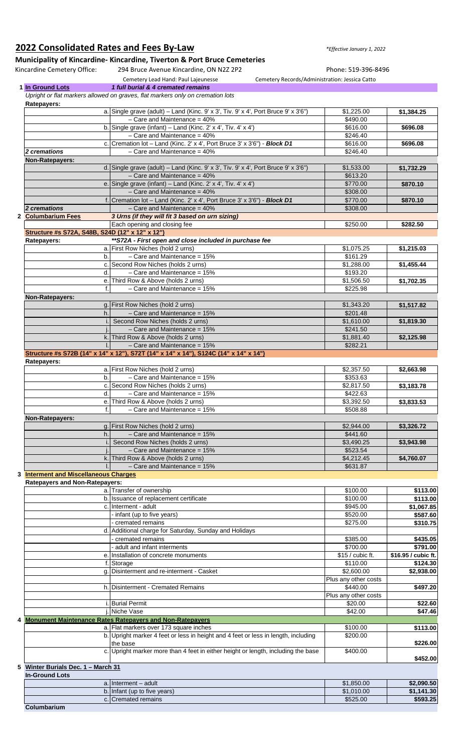## **2022 Consolidated Rates and Fees By-Law** *\*Effective January 1, 2022*

## **Municipality of Kincardine- Kincardine, Tiverton & Port Bruce Cemeteries**

Kincardine Cemetery Office: 294 Bruce Avenue Kincardine, ON N2Z 2P2 Phone: 519-396-8496 Cemetery Lead Hand: Paul Lajeunesse Cemetery Records/Administration: Jessica Catto **1 In Ground Lots** *1 full burial & 4 cremated remains Upright or flat markers allowed on graves, flat markers only on cremation lots* **Ratepayers:** a. Single grave (adult) – Land (Kinc. 9' x 3', Tiv. 9' x 4', Port Bruce 9' x 3'6") \$1,225.00 **\$1,384.25**  $-$  Care and Maintenance = 40%  $\blacksquare$ 

|                                                 | b. Single grave (infant) – Land (Kinc. 2' x 4', Tiv. 4' x 4')                        | \$616.00             | \$696.08            |
|-------------------------------------------------|--------------------------------------------------------------------------------------|----------------------|---------------------|
|                                                 | $-$ Care and Maintenance = 40%                                                       | \$246.40             |                     |
|                                                 | c. Cremation lot - Land (Kinc. 2' x 4', Port Bruce 3' x 3'6") - Block D1             | \$616.00             | \$696.08            |
| 2 cremations                                    | $-$ Care and Maintenance = 40%                                                       | \$246.40             |                     |
| Non-Ratepayers:                                 |                                                                                      |                      |                     |
|                                                 | d. Single grave (adult) – Land (Kinc. 9' x 3', Tiv. 9' x 4', Port Bruce 9' x 3'6")   | \$1,533.00           | \$1,732.29          |
|                                                 | $-$ Care and Maintenance = 40%                                                       | \$613.20             |                     |
|                                                 | e. Single grave (infant) – Land (Kinc. 2' x 4', Tiv. 4' x 4')                        | \$770.00             | \$870.10            |
|                                                 | $-$ Care and Maintenance = 40%                                                       | \$308.00             |                     |
|                                                 | f. Cremation lot - Land (Kinc. 2' x 4', Port Bruce 3' x 3'6") - Block D1             | \$770.00             | \$870.10            |
| 2 cremations                                    | $-$ Care and Maintenance = 40%                                                       | \$308.00             |                     |
| 2 Columbarium Fees                              | 3 Urns (if they will fit 3 based on urn sizing)                                      |                      |                     |
|                                                 | Each opening and closing fee                                                         | \$250.00             | \$282.50            |
| Structure #s S72A, S48B, S24D (12" x 12" x 12") |                                                                                      |                      |                     |
| Ratepayers:                                     | **S72A - First open and close included in purchase fee                               |                      |                     |
|                                                 | a. First Row Niches (hold 2 urns)                                                    | \$1,075.25           | \$1,215.03          |
| b.                                              | $-$ Care and Maintenance = 15%                                                       | \$161.29             |                     |
|                                                 | c. Second Row Niches (holds 2 urns)                                                  | \$1,288.00           | \$1,455.44          |
| d.                                              | $-$ Care and Maintenance = 15%                                                       | \$193.20             |                     |
|                                                 | e. Third Row & Above (holds 2 urns)                                                  | \$1,506.50           | \$1,702.35          |
| f.                                              | $-$ Care and Maintenance = 15%                                                       | \$225.98             |                     |
| Non-Ratepayers:                                 |                                                                                      |                      |                     |
|                                                 | g. First Row Niches (hold 2 urns)                                                    | \$1,343.20           | \$1,517.82          |
| h.                                              | $-$ Care and Maintenance = 15%                                                       | \$201.48             |                     |
|                                                 | Second Row Niches (holds 2 urns)                                                     | \$1,610.00           | \$1,819.30          |
|                                                 | $-$ Care and Maintenance = 15%                                                       | \$241.50             |                     |
|                                                 | k. Third Row & Above (holds 2 urns)                                                  | \$1,881.40           | \$2,125.98          |
|                                                 | $-$ Care and Maintenance = 15%                                                       | \$282.21             |                     |
|                                                 | Structure #s S72B (14" x 14" x 12"), S72T (14" x 14" x 14"), S124C (14" x 14" x 14") |                      |                     |
| Ratepayers:                                     |                                                                                      |                      |                     |
|                                                 | a. First Row Niches (hold 2 urns)                                                    | \$2,357.50           | \$2,663.98          |
| b.                                              | $-$ Care and Maintenance = 15%                                                       | \$353.63             |                     |
|                                                 | c. Second Row Niches (holds 2 urns)                                                  | \$2,817.50           | \$3,183.78          |
| d.                                              | $-$ Care and Maintenance = 15%                                                       | \$422.63             |                     |
|                                                 | e. Third Row & Above (holds 2 urns)                                                  | \$3,392.50           | \$3,833.53          |
| f.                                              | $-$ Care and Maintenance = 15%                                                       | \$508.88             |                     |
| Non-Ratepayers:                                 |                                                                                      |                      |                     |
|                                                 | g. First Row Niches (hold 2 urns)                                                    | \$2,944.00           | \$3,326.72          |
| h.                                              | $-$ Care and Maintenance = 15%                                                       | \$441.60             |                     |
|                                                 | Second Row Niches (holds 2 urns)                                                     | \$3,490.25           | \$3,943.98          |
|                                                 | $-$ Care and Maintenance = 15%                                                       | \$523.54             |                     |
|                                                 | k. Third Row & Above (holds 2 urns)                                                  | \$4,212.45           | \$4,760.07          |
|                                                 | $-$ Care and Maintenance = 15%                                                       | \$631.87             |                     |
| 3 Interment and Miscellaneous Charges           |                                                                                      |                      |                     |
| <b>Ratepayers and Non-Ratepayers:</b>           |                                                                                      |                      |                     |
|                                                 | a. Transfer of ownership                                                             | \$100.00             | \$113.00            |
|                                                 | b. Issuance of replacement certificate                                               | \$100.00             | \$113.00            |
|                                                 | c. Interment - adult                                                                 | \$945.00             | \$1,067.85          |
|                                                 | - infant (up to five years)                                                          | \$520.00             | \$587.60            |
|                                                 | - cremated remains                                                                   | \$275.00             | \$310.75            |
|                                                 | d. Additional charge for Saturday, Sunday and Holidays                               |                      |                     |
|                                                 | - cremated remains                                                                   | \$385.00             | \$435.05            |
|                                                 | - adult and infant interments                                                        | \$700.00             | \$791.00            |
|                                                 | e. Installation of concrete monuments                                                | $$15$ / cubic ft.    | \$16.95 / cubic ft. |
|                                                 | f. Storage                                                                           | \$110.00             | \$124.30            |
|                                                 | g. Disinterment and re-interment - Casket                                            | \$2,600.00           | \$2,938.00          |
|                                                 |                                                                                      | Plus any other costs |                     |
|                                                 | h. Disinterment - Cremated Remains                                                   | \$440.00             | \$497.20            |
|                                                 |                                                                                      | Plus any other costs |                     |
|                                                 | i. Burial Permit                                                                     | \$20.00              | \$22.60             |
|                                                 | Niche Vase                                                                           | \$42.00              | \$47.46             |
|                                                 | 4 Monument Maintenance Rates Ratepayers and Non-Ratepayers                           |                      |                     |
|                                                 | a. Flat markers over 173 square inches                                               | \$100.00             | \$113.00            |
|                                                 | b. Upright marker 4 feet or less in height and 4 feet or less in length, including   | \$200.00             |                     |
|                                                 | the base                                                                             |                      | \$226.00            |
|                                                 | c. Upright marker more than 4 feet in either height or length, including the base    | \$400.00             |                     |
|                                                 |                                                                                      |                      | \$452.00            |
| 5 Winter Burials Dec. 1 - March 31              |                                                                                      |                      |                     |
| <b>In-Ground Lots</b>                           |                                                                                      |                      |                     |
|                                                 | $a.$ Interment – adult                                                               | \$1,850.00           | \$2,090.50          |
|                                                 | b. Infant (up to five years)                                                         | \$1,010.00           | \$1,141.30          |
|                                                 | c. Cremated remains                                                                  | \$525.00             | \$593.25            |

**Columbarium**